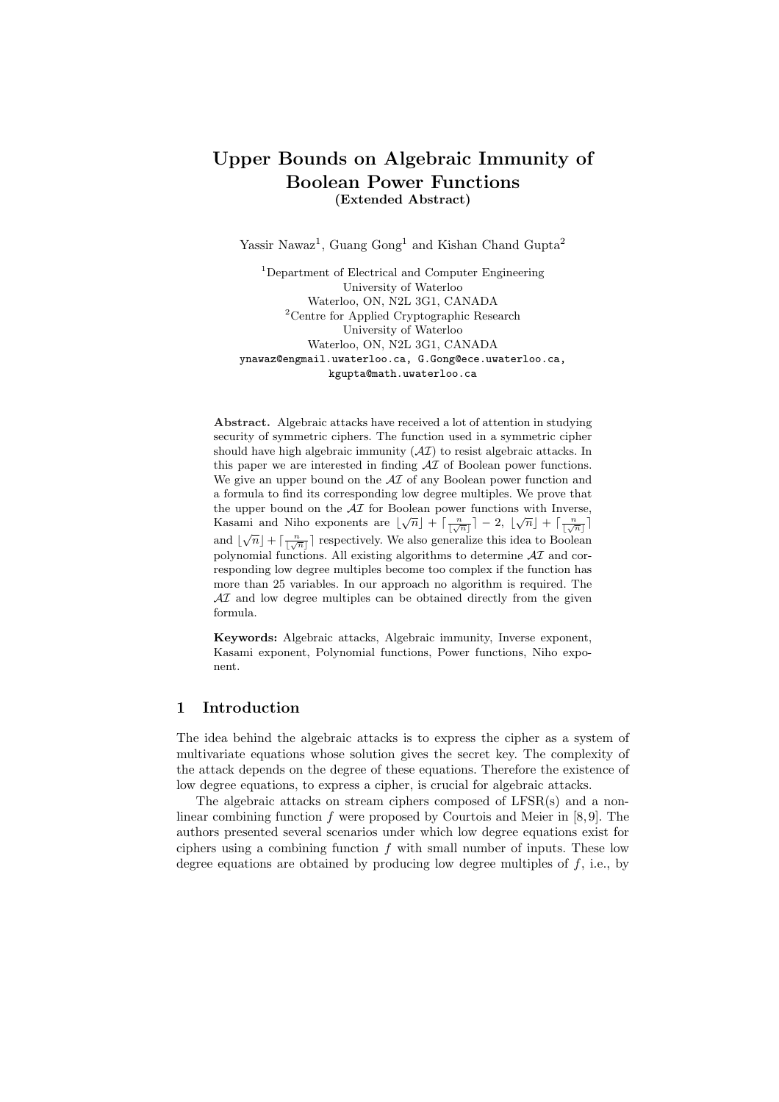# Upper Bounds on Algebraic Immunity of Boolean Power Functions (Extended Abstract)

Yassir Nawaz<sup>1</sup>, Guang Gong<sup>1</sup> and Kishan Chand Gupta<sup>2</sup>

<sup>1</sup>Department of Electrical and Computer Engineering University of Waterloo Waterloo, ON, N2L 3G1, CANADA <sup>2</sup>Centre for Applied Cryptographic Research University of Waterloo Waterloo, ON, N2L 3G1, CANADA ynawaz@engmail.uwaterloo.ca, G.Gong@ece.uwaterloo.ca, kgupta@math.uwaterloo.ca

Abstract. Algebraic attacks have received a lot of attention in studying security of symmetric ciphers. The function used in a symmetric cipher should have high algebraic immunity  $(\mathcal{A}I)$  to resist algebraic attacks. In this paper we are interested in finding  $\mathcal{A}I$  of Boolean power functions. We give an upper bound on the  $\mathcal{A}I$  of any Boolean power function and a formula to find its corresponding low degree multiples. We prove that the upper bound on the  $\mathcal{A}I$  for Boolean power functions with Inverse, Kasami and Niho exponents are  $\lfloor \sqrt{n} \rfloor + \lceil \frac{n}{\lfloor \sqrt{n} \rfloor} \rceil - 2$ ,  $\lfloor \sqrt{n} \rfloor + \lceil \frac{n}{\lfloor \sqrt{n} \rfloor} \rceil$ and  $\lfloor \sqrt{n} \rfloor + \lceil \frac{n}{\lceil \sqrt{n} \rceil} \rceil$  respectively. We also generalize this idea to Boolean polynomial functions. All existing algorithms to determine  $\mathcal{A}\mathcal{I}$  and corresponding low degree multiples become too complex if the function has more than 25 variables. In our approach no algorithm is required. The  $\mathcal{A}I$  and low degree multiples can be obtained directly from the given formula.

Keywords: Algebraic attacks, Algebraic immunity, Inverse exponent, Kasami exponent, Polynomial functions, Power functions, Niho exponent.

## 1 Introduction

The idea behind the algebraic attacks is to express the cipher as a system of multivariate equations whose solution gives the secret key. The complexity of the attack depends on the degree of these equations. Therefore the existence of low degree equations, to express a cipher, is crucial for algebraic attacks.

The algebraic attacks on stream ciphers composed of LFSR(s) and a nonlinear combining function f were proposed by Courtois and Meier in  $[8, 9]$ . The authors presented several scenarios under which low degree equations exist for ciphers using a combining function  $f$  with small number of inputs. These low degree equations are obtained by producing low degree multiples of  $f$ , i.e., by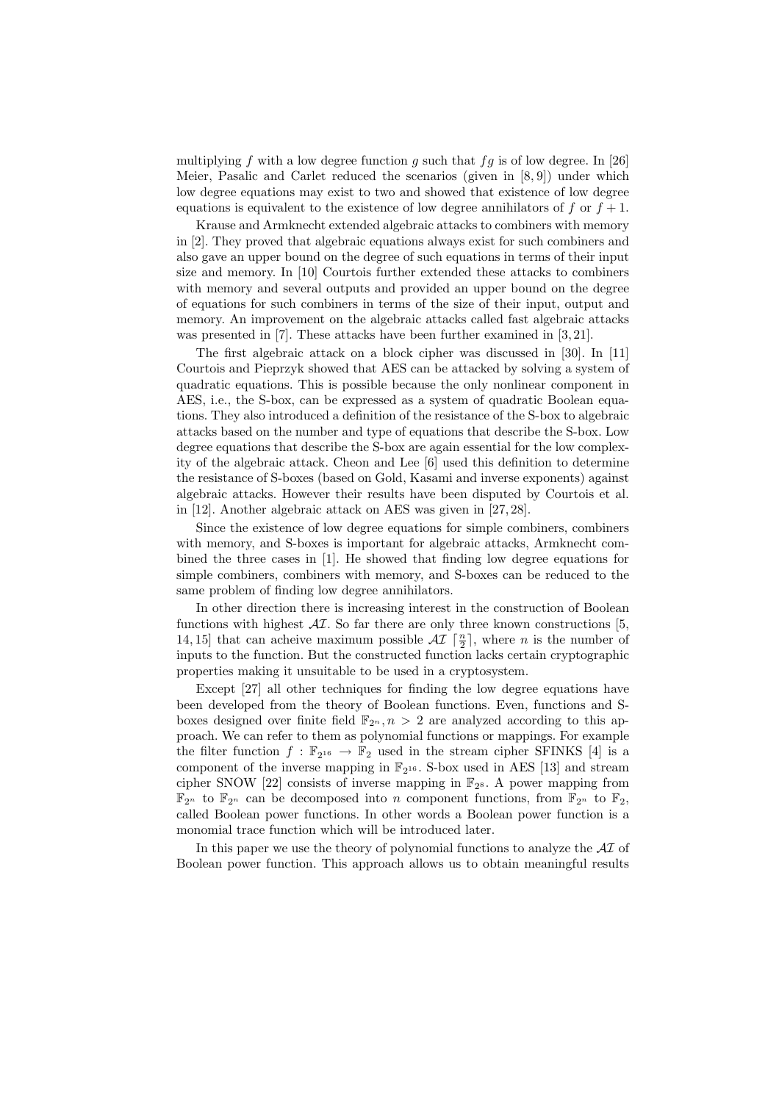multiplying f with a low degree function g such that  $fg$  is of low degree. In [26] Meier, Pasalic and Carlet reduced the scenarios (given in [8, 9]) under which low degree equations may exist to two and showed that existence of low degree equations is equivalent to the existence of low degree annihilators of  $f$  or  $f + 1$ .

Krause and Armknecht extended algebraic attacks to combiners with memory in [2]. They proved that algebraic equations always exist for such combiners and also gave an upper bound on the degree of such equations in terms of their input size and memory. In [10] Courtois further extended these attacks to combiners with memory and several outputs and provided an upper bound on the degree of equations for such combiners in terms of the size of their input, output and memory. An improvement on the algebraic attacks called fast algebraic attacks was presented in [7]. These attacks have been further examined in [3, 21].

The first algebraic attack on a block cipher was discussed in [30]. In [11] Courtois and Pieprzyk showed that AES can be attacked by solving a system of quadratic equations. This is possible because the only nonlinear component in AES, i.e., the S-box, can be expressed as a system of quadratic Boolean equations. They also introduced a definition of the resistance of the S-box to algebraic attacks based on the number and type of equations that describe the S-box. Low degree equations that describe the S-box are again essential for the low complexity of the algebraic attack. Cheon and Lee [6] used this definition to determine the resistance of S-boxes (based on Gold, Kasami and inverse exponents) against algebraic attacks. However their results have been disputed by Courtois et al. in [12]. Another algebraic attack on AES was given in [27, 28].

Since the existence of low degree equations for simple combiners, combiners with memory, and S-boxes is important for algebraic attacks, Armknecht combined the three cases in [1]. He showed that finding low degree equations for simple combiners, combiners with memory, and S-boxes can be reduced to the same problem of finding low degree annihilators.

In other direction there is increasing interest in the construction of Boolean functions with highest  $\mathcal{A}I$ . So far there are only three known constructions [5, 14, 15] that can acheive maximum possible  $\mathcal{AI}$   $\lceil \frac{n}{2} \rceil$ , where *n* is the number of inputs to the function. But the constructed function lacks certain cryptographic properties making it unsuitable to be used in a cryptosystem.

Except [27] all other techniques for finding the low degree equations have been developed from the theory of Boolean functions. Even, functions and Sboxes designed over finite field  $\mathbb{F}_{2^n}$ ,  $n > 2$  are analyzed according to this approach. We can refer to them as polynomial functions or mappings. For example the filter function  $f : \mathbb{F}_{2^{16}} \to \mathbb{F}_{2}$  used in the stream cipher SFINKS [4] is a component of the inverse mapping in  $\mathbb{F}_{2^{16}}$ . S-box used in AES [13] and stream cipher SNOW [22] consists of inverse mapping in  $\mathbb{F}_{2^8}$ . A power mapping from  $\mathbb{F}_{2^n}$  to  $\mathbb{F}_{2^n}$  can be decomposed into n component functions, from  $\mathbb{F}_{2^n}$  to  $\mathbb{F}_2$ , called Boolean power functions. In other words a Boolean power function is a monomial trace function which will be introduced later.

In this paper we use the theory of polynomial functions to analyze the  $\mathcal{A}I$  of Boolean power function. This approach allows us to obtain meaningful results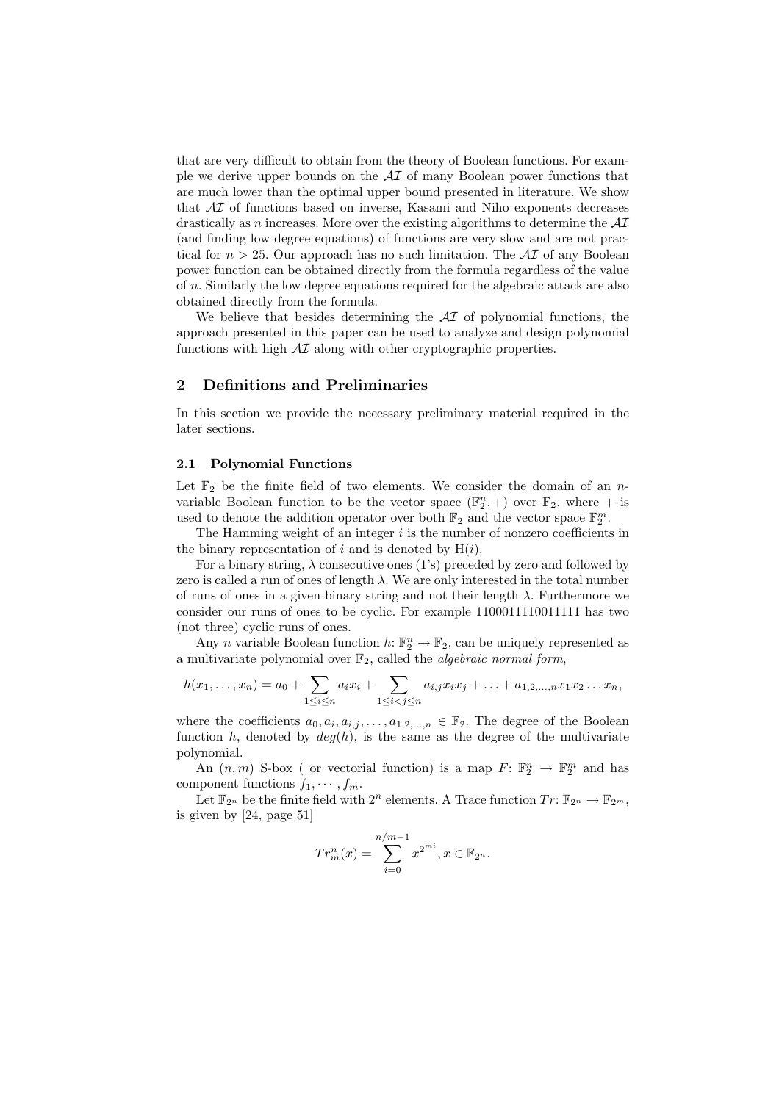that are very difficult to obtain from the theory of Boolean functions. For example we derive upper bounds on the  $\mathcal{A}I$  of many Boolean power functions that are much lower than the optimal upper bound presented in literature. We show that AI of functions based on inverse, Kasami and Niho exponents decreases drastically as n increases. More over the existing algorithms to determine the  $\mathcal{A}I$ (and finding low degree equations) of functions are very slow and are not practical for  $n > 25$ . Our approach has no such limitation. The  $\mathcal{A}I$  of any Boolean power function can be obtained directly from the formula regardless of the value of n. Similarly the low degree equations required for the algebraic attack are also obtained directly from the formula.

We believe that besides determining the  $\mathcal{A}I$  of polynomial functions, the approach presented in this paper can be used to analyze and design polynomial functions with high  $\mathcal{A}I$  along with other cryptographic properties.

#### 2 Definitions and Preliminaries

In this section we provide the necessary preliminary material required in the later sections.

#### 2.1 Polynomial Functions

Let  $\mathbb{F}_2$  be the finite field of two elements. We consider the domain of an nvariable Boolean function to be the vector space  $(\mathbb{F}_2^n, +)$  over  $\mathbb{F}_2$ , where  $+$  is used to denote the addition operator over both  $\mathbb{F}_2$  and the vector space  $\mathbb{F}_2^m$ .

The Hamming weight of an integer  $i$  is the number of nonzero coefficients in the binary representation of i and is denoted by  $H(i)$ .

For a binary string,  $\lambda$  consecutive ones (1's) preceded by zero and followed by zero is called a run of ones of length  $\lambda$ . We are only interested in the total number of runs of ones in a given binary string and not their length  $\lambda$ . Furthermore we consider our runs of ones to be cyclic. For example 1100011110011111 has two (not three) cyclic runs of ones.

Any n variable Boolean function  $h: \mathbb{F}_2^n \to \mathbb{F}_2$ , can be uniquely represented as a multivariate polynomial over  $\mathbb{F}_2$ , called the *algebraic normal form*,

$$
h(x_1,...,x_n) = a_0 + \sum_{1 \leq i \leq n} a_i x_i + \sum_{1 \leq i < j \leq n} a_{i,j} x_i x_j + \ldots + a_{1,2,...,n} x_1 x_2 \ldots x_n,
$$

where the coefficients  $a_0, a_i, a_{i,j}, \ldots, a_{1,2,\ldots,n} \in \mathbb{F}_2$ . The degree of the Boolean function h, denoted by  $deg(h)$ , is the same as the degree of the multivariate polynomial.

An  $(n, m)$  S-box ( or vectorial function) is a map  $F: \mathbb{F}_2^n \to \mathbb{F}_2^m$  and has component functions  $f_1, \cdots, f_m$ .

Let  $\mathbb{F}_{2^n}$  be the finite field with  $2^n$  elements. A Trace function  $Tr: \mathbb{F}_{2^n} \to \mathbb{F}_{2^m}$ , is given by [24, page 51]

$$
Tr_m^n(x) = \sum_{i=0}^{n/m-1} x^{2^{mi}}, x \in \mathbb{F}_{2^n}.
$$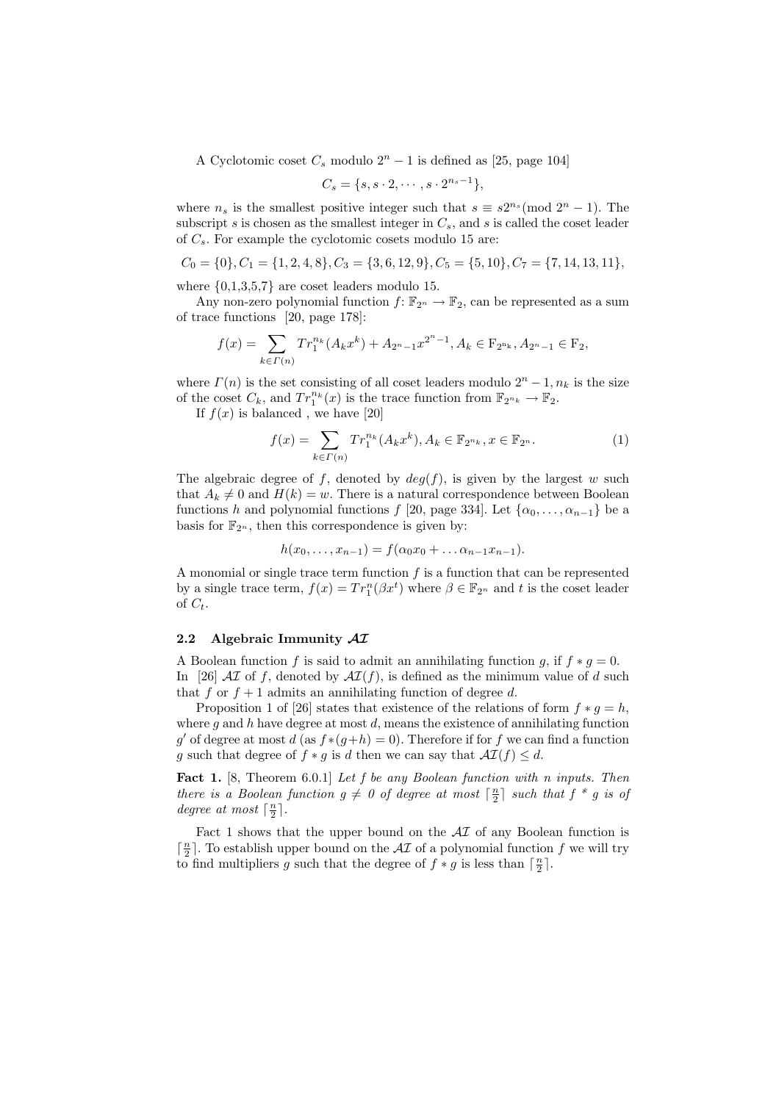A Cyclotomic coset  $C_s$  modulo  $2^n - 1$  is defined as [25, page 104]

$$
C_s = \{s, s \cdot 2, \cdots, s \cdot 2^{n_s - 1}\},\
$$

where  $n_s$  is the smallest positive integer such that  $s \equiv s2^{n_s} \pmod{2^n-1}$ . The subscript  $s$  is chosen as the smallest integer in  $C_s$ , and  $s$  is called the coset leader of  $C_s$ . For example the cyclotomic cosets modulo 15 are:

$$
C_0 = \{0\}, C_1 = \{1, 2, 4, 8\}, C_3 = \{3, 6, 12, 9\}, C_5 = \{5, 10\}, C_7 = \{7, 14, 13, 11\},
$$

where  $\{0,1,3,5,7\}$  are coset leaders modulo 15.

Any non-zero polynomial function  $f: \mathbb{F}_{2^n} \to \mathbb{F}_2$ , can be represented as a sum of trace functions [20, page 178]:

$$
f(x) = \sum_{k \in \Gamma(n)} Tr_1^{n_k}(A_k x^k) + A_{2n-1} x^{2n-1}, A_k \in \mathcal{F}_{2^{n_k}}, A_{2n-1} \in \mathcal{F}_2,
$$

where  $\Gamma(n)$  is the set consisting of all coset leaders modulo  $2^{n} - 1$ ,  $n_k$  is the size of the coset  $C_k$ , and  $Tr_1^{n_k}(x)$  is the trace function from  $\mathbb{F}_{2^{n_k}} \to \mathbb{F}_2$ .

If  $f(x)$  is balanced, we have [20]

$$
f(x) = \sum_{k \in \Gamma(n)} Tr_1^{n_k}(A_k x^k), A_k \in \mathbb{F}_{2^{n_k}}, x \in \mathbb{F}_{2^n}.
$$
 (1)

The algebraic degree of f, denoted by  $deg(f)$ , is given by the largest w such that  $A_k \neq 0$  and  $H(k) = w$ . There is a natural correspondence between Boolean functions h and polynomial functions f [20, page 334]. Let  $\{\alpha_0, \ldots, \alpha_{n-1}\}\)$  be a basis for  $\mathbb{F}_{2^n}$ , then this correspondence is given by:

$$
h(x_0,...,x_{n-1}) = f(\alpha_0 x_0 + ... \alpha_{n-1} x_{n-1}).
$$

A monomial or single trace term function  $f$  is a function that can be represented by a single trace term,  $f(x) = Tr_1^n(\beta x^t)$  where  $\beta \in \mathbb{F}_{2^n}$  and t is the coset leader of  $C_t$ .

## 2.2 Algebraic Immunity  $\mathcal{A}\mathcal{I}$

A Boolean function f is said to admit an annihilating function g, if  $f * g = 0$ . In [26]  $\mathcal{AI}$  of f, denoted by  $\mathcal{AI}(f)$ , is defined as the minimum value of d such that f or  $f + 1$  admits an annihilating function of degree d.

Proposition 1 of [26] states that existence of the relations of form  $f * g = h$ , where q and h have degree at most  $d$ , means the existence of annihilating function g' of degree at most d (as  $f*(g+h) = 0$ ). Therefore if for f we can find a function g such that degree of  $f * g$  is d then we can say that  $\mathcal{AI}(f) \leq d$ .

Fact 1. [8, Theorem 6.0.1] Let f be any Boolean function with n inputs. Then there is a Boolean function  $g \neq 0$  of degree at most  $\lceil \frac{n}{2} \rceil$  such that  $f * g$  is of degree at most  $\lceil \frac{n}{2} \rceil$ .

Fact 1 shows that the upper bound on the  $\mathcal{A}I$  of any Boolean function is  $\lceil \frac{n}{2} \rceil.$  To establish upper bound on the  $\mathcal{AI}$  of a polynomial function  $f$  we will try to find multipliers g such that the degree of  $f * g$  is less than  $\lceil \frac{n}{2} \rceil$ .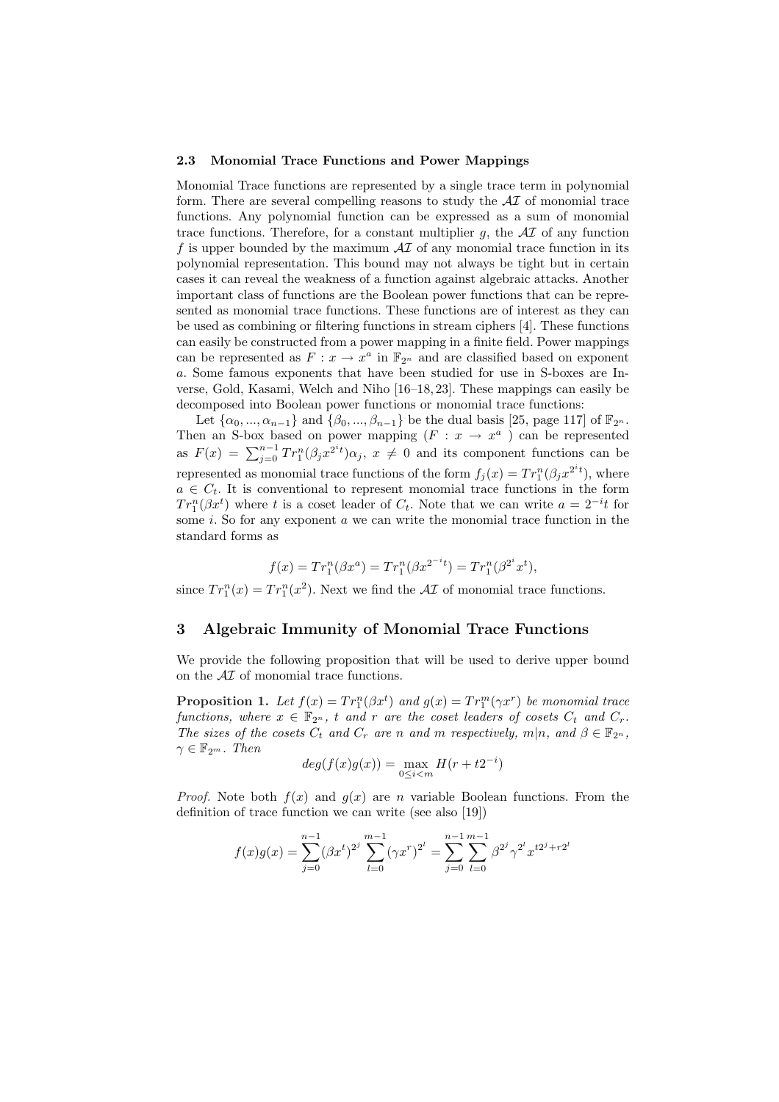#### 2.3 Monomial Trace Functions and Power Mappings

Monomial Trace functions are represented by a single trace term in polynomial form. There are several compelling reasons to study the  $\mathcal{A}I$  of monomial trace functions. Any polynomial function can be expressed as a sum of monomial trace functions. Therefore, for a constant multiplier  $g$ , the  $\mathcal{A}I$  of any function f is upper bounded by the maximum  $\mathcal{A}I$  of any monomial trace function in its polynomial representation. This bound may not always be tight but in certain cases it can reveal the weakness of a function against algebraic attacks. Another important class of functions are the Boolean power functions that can be represented as monomial trace functions. These functions are of interest as they can be used as combining or filtering functions in stream ciphers [4]. These functions can easily be constructed from a power mapping in a finite field. Power mappings can be represented as  $F: x \to x^a$  in  $\mathbb{F}_{2^n}$  and are classified based on exponent a. Some famous exponents that have been studied for use in S-boxes are Inverse, Gold, Kasami, Welch and Niho [16–18, 23]. These mappings can easily be decomposed into Boolean power functions or monomial trace functions:

Let  $\{\alpha_0, ..., \alpha_{n-1}\}\$  and  $\{\beta_0, ..., \beta_{n-1}\}\$  be the dual basis [25, page 117] of  $\mathbb{F}_{2^n}$ . Then an S-box based on power mapping  $(F : x \to x^a)$  can be represented as  $F(x) = \sum_{j=0}^{n-1} Tr_1^n(\beta_j x^{2^i t}) \alpha_j, x \neq 0$  and its component functions can be represented as monomial trace functions of the form  $f_j(x) = Tr_1^n(\beta_j x^{2^{i}t})$ , where  $a \in C_t$ . It is conventional to represent monomial trace functions in the form  $Tr_1^n(\beta x^t)$  where t is a coset leader of  $C_t$ . Note that we can write  $a = 2^{-i}t$  for some i. So for any exponent  $\alpha$  we can write the monomial trace function in the standard forms as

$$
f(x) = Tr_1^n(\beta x^a) = Tr_1^n(\beta x^{2^{-i}t}) = Tr_1^n(\beta^{2^i}x^t),
$$

since  $Tr_1^n(x) = Tr_1^n(x^2)$ . Next we find the  $\mathcal{A}I$  of monomial trace functions.

## 3 Algebraic Immunity of Monomial Trace Functions

We provide the following proposition that will be used to derive upper bound on the  $\mathcal{A}I$  of monomial trace functions.

**Proposition 1.** Let  $f(x) = Tr_1^n(\beta x^t)$  and  $g(x) = Tr_1^m(\gamma x^r)$  be monomial trace functions, where  $x \in \mathbb{F}_{2^n}$ , t and r are the coset leaders of cosets  $C_t$  and  $C_r$ . The sizes of the cosets  $C_t$  and  $C_r$  are n and m respectively, m|n, and  $\beta \in \mathbb{F}_{2^n}$ ,  $\gamma \in \mathbb{F}_{2^m}$ . Then

$$
deg(f(x)g(x)) = \max_{0 \le i < m} H(r + t2^{-i})
$$

*Proof.* Note both  $f(x)$  and  $g(x)$  are n variable Boolean functions. From the definition of trace function we can write (see also [19])

$$
f(x)g(x) = \sum_{j=0}^{n-1} (\beta x^t)^{2^j} \sum_{l=0}^{m-1} (\gamma x^r)^{2^l} = \sum_{j=0}^{n-1} \sum_{l=0}^{m-1} \beta^{2^j} \gamma^{2^l} x^{t2^j + r2^l}
$$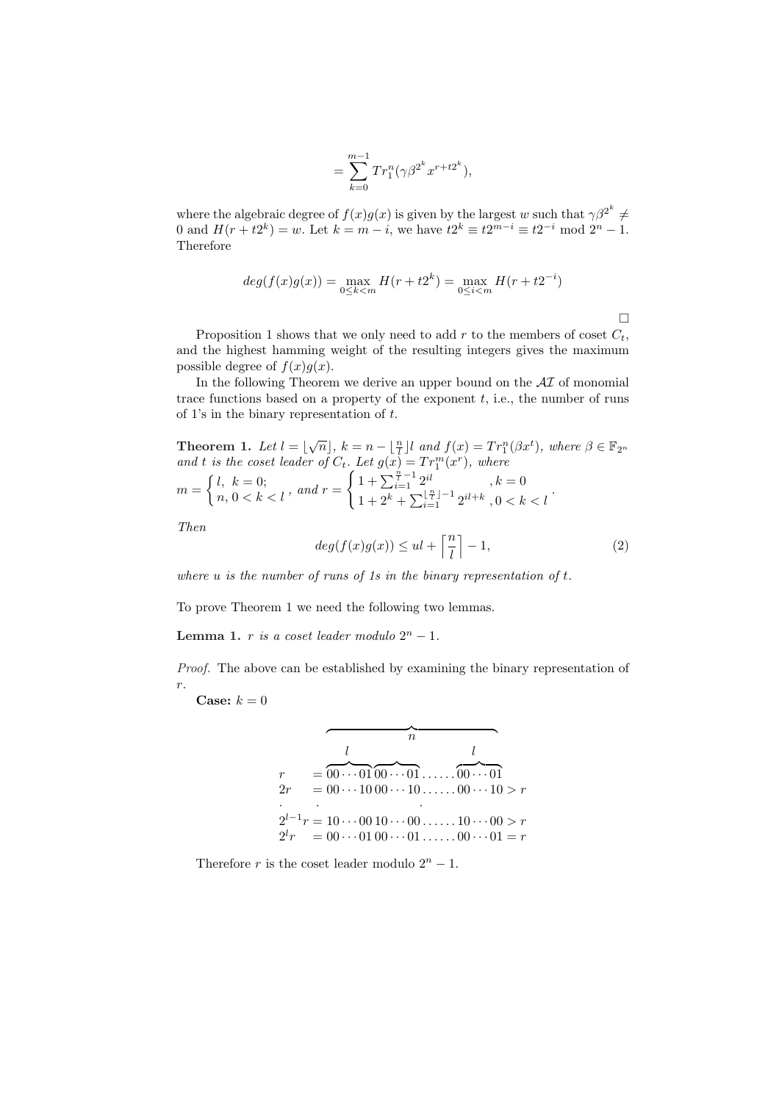$$
=\sum_{k=0}^{m-1}Tr_1^n(\gamma\beta^{2^k}x^{r+t2^k}),
$$

where the algebraic degree of  $f(x)g(x)$  is given by the largest w such that  $\gamma\beta^{2^k} \neq$ 0 and  $H(r + t2^k) = w$ . Let  $k = m - i$ , we have  $t2^k \equiv t2^{m-i} \equiv t2^{-i} \mod 2^n - 1$ . Therefore

$$
deg(f(x)g(x)) = \max_{0 \le k < m} H(r + t2^k) = \max_{0 \le i < m} H(r + t2^{-i})
$$

Proposition 1 shows that we only need to add r to the members of coset  $C_t$ , and the highest hamming weight of the resulting integers gives the maximum possible degree of  $f(x)g(x)$ .

In the following Theorem we derive an upper bound on the  $\mathcal{A}I$  of monomial trace functions based on a property of the exponent  $t$ , i.e., the number of runs of 1's in the binary representation of t.

**Theorem 1.** Let  $l = \lfloor \sqrt{n} \rfloor$ ,  $k = n - \lfloor \frac{n}{l} \rfloor l$  and  $f(x) = Tr_1^n(\beta x^t)$ , where  $\beta \in \mathbb{F}_{2^n}$ and t is the coset leader of  $C_t$ . Let  $g(x) = Tr_1^m(x^r)$ , where  $m =$  $\begin{cases} l, k = 0; \\ n, 0 < k < l \end{cases}$ , and  $r =$ . Let  $g(x) = I r_1^x(x^r)$ , where<br>  $\int 1 + \sum_{i=1}^{\frac{n}{l}-1} 2^{il}$ ,  $k = 0$  $1 + 2^k + \sum_{i=1}^{\lfloor \frac{n}{l} \rfloor - 1} 2^{il + k}, 0 < k < l$ .

Then

$$
deg(f(x)g(x)) \le ul + \left\lceil \frac{n}{l} \right\rceil - 1,\tag{2}
$$

where  $u$  is the number of runs of 1s in the binary representation of  $t$ .

To prove Theorem 1 we need the following two lemmas.

Lemma 1. r is a coset leader modulo  $2^n - 1$ .

Proof. The above can be established by examining the binary representation of  $r. \,$ 

Case:  $k = 0$ 

$$
r = \frac{l}{00 \cdots 0100 \cdots 01} \dots \overbrace{00 \cdots 01}^{l}
$$
  
\n
$$
2r = 00 \cdots 1000 \cdots 10 \dots 00 \cdots 10 > r
$$
  
\n
$$
2^{l-1}r = 10 \cdots 0010 \cdots 00 \dots 10 \cdots 00 > r
$$
  
\n
$$
2^{l}r = 00 \cdots 0100 \cdots 01 \dots 00 \cdots 01 = r
$$

Therefore r is the coset leader modulo  $2<sup>n</sup> - 1$ .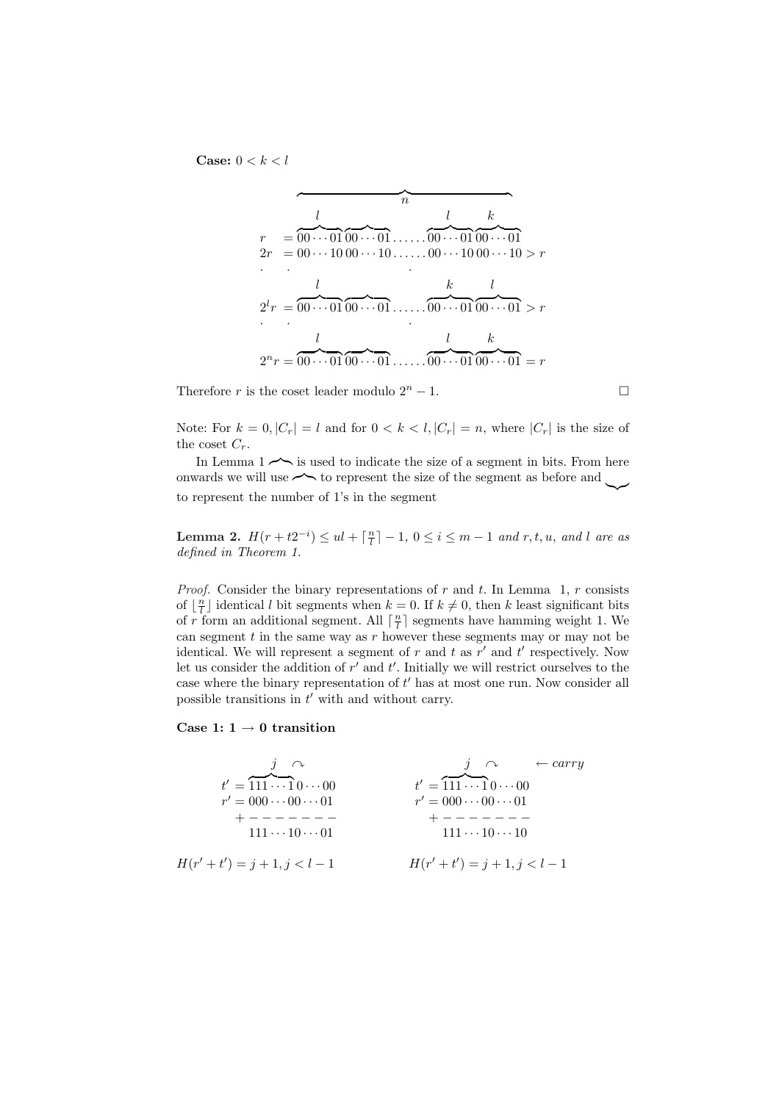Case:  $0 < k < l$ 

$$
r = 00 \cdots 01 \overbrace{00 \cdots 01}^{n} \cdots \overbrace{00 \cdots 01 \overbrace{00 \cdots 01}^{k} \cdots}
$$
  
\n
$$
2r = 00 \cdots 10 \overbrace{00 \cdots 01}^{n} \cdots \cdots \overbrace{00 \cdots 01 \overbrace{00 \cdots 01}^{k} \cdots}
$$
  
\n
$$
2^{l}r = 00 \cdots 01 \overbrace{00 \cdots 01}^{l} \cdots \cdots \overbrace{00 \cdots 01 \overbrace{00 \cdots 01}^{k} \cdots}
$$
  
\n
$$
2^{n}r = 00 \cdots 01 \overbrace{00 \cdots 01}^{l} \cdots \cdots \cdots \overbrace{00 \cdots 01 \overbrace{00 \cdots 01}^{k} = r
$$

Therefore r is the coset leader modulo  $2<sup>n</sup> - 1$ .

Note: For  $k = 0, |C_r| = l$  and for  $0 < k < l, |C_r| = n$ , where  $|C_r|$  is the size of the coset  $C_r$ .

In Lemma  $1 \rightarrow$  is used to indicate the size of a segment in bits. From here onwards we will use  $\leftarrow$  to represent the size of the segment as before and to represent the number of 1's in the segment

**Lemma 2.**  $H(r + t2^{-i}) \leq ul + \lceil \frac{n}{l} \rceil - 1, 0 \leq i \leq m - 1$  and  $r, t, u$ , and l are as defined in Theorem 1.

*Proof.* Consider the binary representations of r and t. In Lemma 1, r consists of  $\lfloor \frac{n}{l} \rfloor$  identical l bit segments when  $k = 0$ . If  $k \neq 0$ , then k least significant bits of r form an additional segment. All  $\lceil \frac{n}{l} \rceil$  segments have hamming weight 1. We can segment  $t$  in the same way as  $r$  however these segments may or may not be identical. We will represent a segment of  $r$  and  $t$  as  $r'$  and  $t'$  respectively. Now let us consider the addition of  $r'$  and  $t'$ . Initially we will restrict ourselves to the case where the binary representation of  $t'$  has at most one run. Now consider all possible transitions in  $t'$  with and without carry.

#### Case 1:  $1 \rightarrow 0$  transition

$$
t' = \overbrace{111 \cdots 1}^{j} 0 \cdots 00
$$
  
\n
$$
r' = 000 \cdots 00 \cdots 01
$$
  
\n
$$
t' = \overbrace{111 \cdots 1}^{j} 0 \cdots 00
$$
  
\n
$$
r' = 000 \cdots 00 \cdots 01
$$
  
\n
$$
t' = \overbrace{111 \cdots 1}^{j} 0 \cdots 00
$$
  
\n
$$
r' = 000 \cdots 00 \cdots 01
$$
  
\n
$$
t' = \overbrace{111 \cdots 1}^{j} 0 \cdots 00
$$
  
\n
$$
r' = 000 \cdots 00 \cdots 01
$$
  
\n
$$
t' = \overbrace{111 \cdots 1}^{j} 0 \cdots 00
$$
  
\n
$$
r' = 000 \cdots 00 \cdots 01
$$
  
\n
$$
t' = \overbrace{111 \cdots 1}^{j} 0 \cdots 00
$$
  
\n
$$
r' = 000 \cdots 00 \cdots 01
$$
  
\n
$$
t' = \overbrace{111 \cdots 1}^{j} 0 \cdots 00
$$
  
\n
$$
r' = 000 \cdots 00 \cdots 01
$$
  
\n
$$
t' = \overbrace{111 \cdots 1}^{j} 0 \cdots 00
$$
  
\n
$$
t' = \overbrace{111 \cdots 1}^{j} 0 \cdots 00
$$
  
\n
$$
t' = \overbrace{111 \cdots 1}^{j} 0 \cdots 00
$$
  
\n
$$
t' = \overbrace{111 \cdots 1}^{j} 0 \cdots 00
$$
  
\n
$$
t' = \overbrace{111 \cdots 1}^{j} 0 \cdots 00
$$
  
\n
$$
t' = \overbrace{111 \cdots 1}^{j} 0 \cdots 00
$$
  
\n
$$
t' = \overbrace{111 \cdots 1}^{j} 0 \cdots 00
$$
  
\n

$$
\Box
$$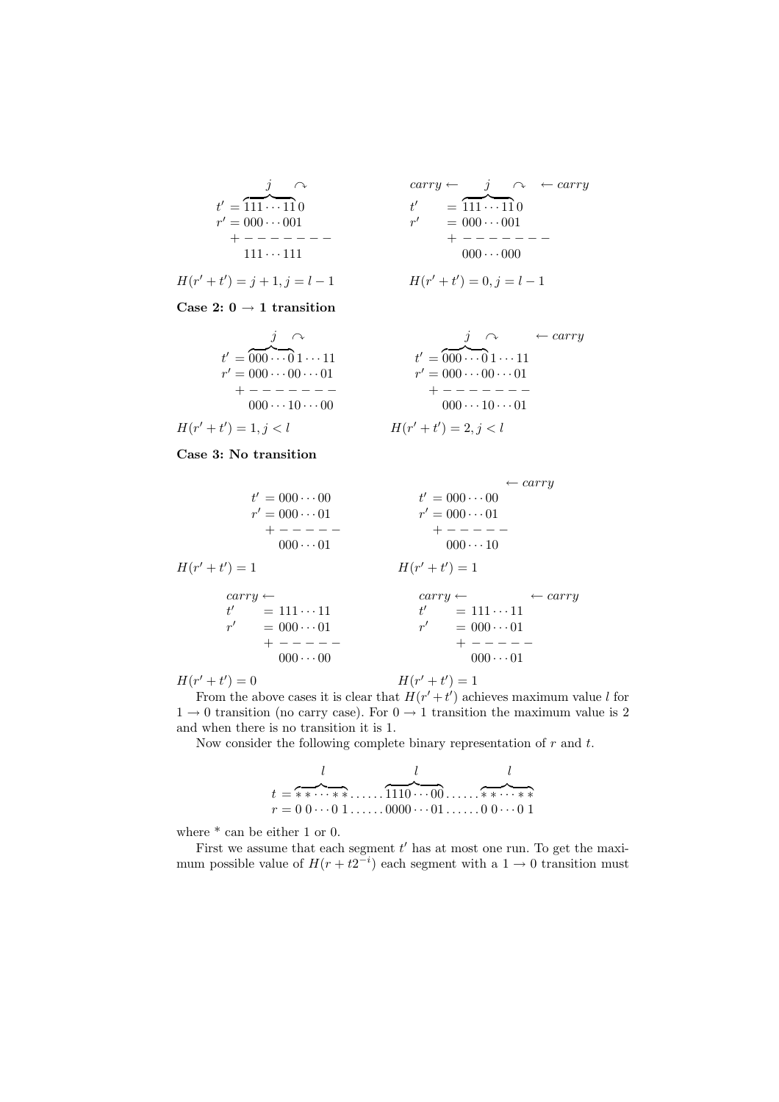$$
t' = \overbrace{111 \cdots 11}^{j} 0
$$
  
\n
$$
r' = 000 \cdots 001
$$
  
\n
$$
r = 111 \cdots 111
$$
  
\n
$$
t^{2}
$$
  
\n
$$
r
$$
  
\n
$$
r
$$
  
\n
$$
t^{2}
$$
  
\n
$$
r
$$
  
\n
$$
t^{2}
$$
  
\n
$$
r
$$
  
\n
$$
t^{2}
$$
  
\n
$$
t^{2}
$$
  
\n
$$
t^{2}
$$
  
\n
$$
t^{2}
$$
  
\n
$$
t^{2}
$$
  
\n
$$
t^{2}
$$
  
\n
$$
t^{2}
$$
  
\n
$$
t^{2}
$$
  
\n
$$
t^{2}
$$
  
\n
$$
t^{2}
$$
  
\n
$$
t^{2}
$$
  
\n
$$
t^{2}
$$
  
\n
$$
t^{2}
$$
  
\n
$$
t^{2}
$$
  
\n
$$
t^{2}
$$
  
\n
$$
t^{2}
$$
  
\n
$$
t^{2}
$$
  
\n
$$
t^{2}
$$
  
\n
$$
t^{2}
$$
  
\n
$$
t^{2}
$$
  
\n
$$
t^{2}
$$
  
\n
$$
t^{2}
$$
  
\n
$$
t^{2}
$$
  
\n
$$
t^{2}
$$
  
\n
$$
t^{2}
$$
  
\n
$$
t^{2}
$$
  
\n
$$
t^{2}
$$
  
\n
$$
t^{2}
$$
  
\n
$$
t^{2}
$$
  
\n
$$
t^{2}
$$
  
\n
$$
t^{2}
$$
  
\n
$$
t^{2}
$$
  
\n
$$
t^{2}
$$
  
\n
$$
t^{2}
$$
  
\n
$$
t^{2}
$$
  
\n
$$
t^{2}
$$
  
\n
$$
t^{2}
$$
  
\n
$$
t^{2}
$$
  
\n
$$
t^{2}
$$

$$
\begin{array}{rcl}\nj & \curvearrowright & & \operatorname{carry} \leftarrow & j & \curvearrowright & \leftarrow \operatorname{carry} \\
= \overbrace{111 \cdots 11}^{11} 0 & & t' & = \overbrace{111 \cdots 11}^{11} 0 \\
= 000 \cdots 001 & & r' & = 000 \cdots 001 \\
+ - - - - - - - - - \\
111 \cdots 111 & & & 000 \cdots 000\n\end{array}
$$

$$
H(r'+t') = j+1, j = l-1
$$
  

$$
H(r'+t') = 0, j = l-1
$$

Case 2:  $0 \rightarrow 1$  transition

t <sup>0</sup> = z }| { 000 · · · 0 1 · · · 11 t r <sup>0</sup> = 000 · · · 00 · · · 01 r

$$
t' = 000 \cdots 01 \cdots 11
$$
  
\n
$$
r' = 000 \cdots 00 \cdots 01
$$
  
\n
$$
t' = 000 \cdots 01 \cdots 11
$$
  
\n
$$
r' = 000 \cdots 00 \cdots 01
$$
  
\n
$$
t' = 000 \cdots 01 \cdots 11
$$
  
\n
$$
r' = 000 \cdots 00 \cdots 01
$$
  
\n
$$
t' = 000 \cdots 01 \cdots 11
$$
  
\n
$$
r' = 000 \cdots 00 \cdots 01
$$
  
\n
$$
t' = 000 \cdots 01 \cdots 01
$$
  
\n
$$
t' = 000 \cdots 01 \cdots 01
$$
  
\n
$$
t' = 000 \cdots 01 \cdots 01
$$
  
\n
$$
t' = 000 \cdots 01 \cdots 01
$$
  
\n
$$
t' = 000 \cdots 01 \cdots 01
$$
  
\n
$$
t' = 000 \cdots 01 \cdots 01
$$

Case 3: No transition

$$
t' = 000 \cdots 00 \t t' = 000 \cdots 00
$$
  
\n
$$
r' = 000 \cdots 01 \t + \t - \t - \t - \t - \t 000 \cdots 01
$$
  
\n
$$
H(r' + t') = 1 \t \t \text{carry} \leftarrow \t \text{carry} \leftarrow \t \text{carry} \leftarrow \t \text{carry} \leftarrow \t \text{carry} \leftarrow \t \text{carry} \leftarrow \t \text{array} \t t' = 111 \cdots 11 \t t' = 111 \cdots 11 \t t' = 100 \cdots 01 \t + \t - \t - \t - \t - \t 000 \cdots 01 \t + \t - \t - \t - \t - \t 000 \cdots 01 \t + \t - \t - \t - \t - \t 000 \cdots 01 \t + \t - \t - \t - \t 000 \cdots 01 \t + \t 000 \cdots 01 \t \text{6} \leftarrow \t 000 \cdots 01 \t \text{6} \leftarrow \t 000 \cdots 01 \t \text{6} \leftarrow \t 000 \cdots 01 \t \text{6} \leftarrow \t 000 \cdots 01 \t \text{6} \leftarrow \t 000 \cdots 01 \t \text{6} \leftarrow \t 000 \cdots 01 \t \text{6} \leftarrow \t 000 \cdots 01 \t \text{6} \leftarrow \t 000 \cdots 01 \t \text{6} \leftarrow \t 000 \cdots 01 \t \text{6} \leftarrow \t 000 \cdots 01 \t \text{6} \leftarrow \t 000 \cdots 01 \t \text{6} \leftarrow \t 000 \cdots 01 \t \text{6} \leftarrow \t 000 \cdots 01 \t \text{6} \leftarrow \t 000 \cdots 01 \t \text{6} \leftarrow \t 000 \cdots 01 \t \text{6} \leftarrow \t 000 \cdots 01 \t \text{6} \leftarrow \t 000 \cdots 01 \t \text{6} \leftarrow \t 000 \cdots 01 \t \text{6} \leftarrow \t 000 \cdots 01 \t \text{6
$$

 $H(r'+t') = 0$   $H(r$ 

 $(t + t') = 1$ 

From the above cases it is clear that  $H(r'+t')$  achieves maximum value l for  $1 \rightarrow 0$  transition (no carry case). For  $0 \rightarrow 1$  transition the maximum value is 2 and when there is no transition it is 1.

Now consider the following complete binary representation of  $r$  and  $t$ .

l l l t = z }| { ∗ ∗ · · · ∗ ∗ . . . . . . z }| { 1110 · · · 00 . . . . . . z }| { ∗ ∗ · · · ∗ ∗ r = 0 0 · · · 0 1 . . . . . . 0000 · · · 01 . . . . . . 0 0 · · · 0 1

where  $*$  can be either 1 or 0.

First we assume that each segment  $t'$  has at most one run. To get the maximum possible value of  $H(r + t2^{-i})$  each segment with a  $1 \rightarrow 0$  transition must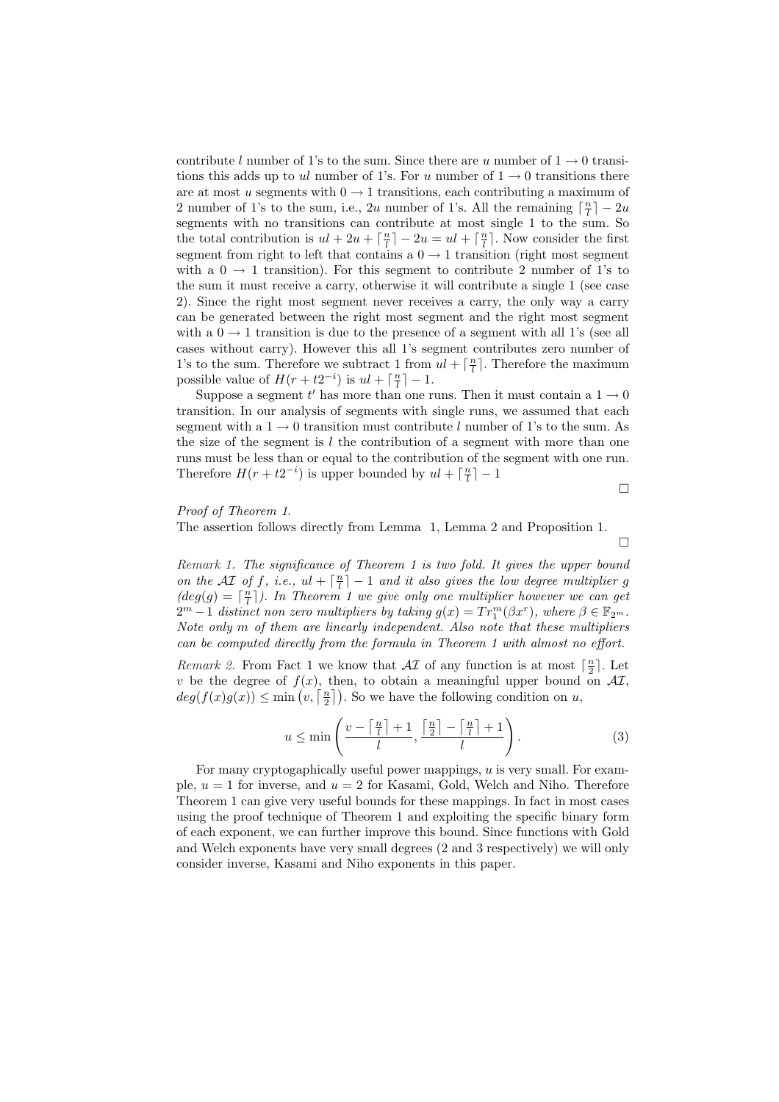contribute l number of 1's to the sum. Since there are u number of  $1 \rightarrow 0$  transitions this adds up to ul number of 1's. For u number of  $1 \rightarrow 0$  transitions there are at most u segments with  $0 \rightarrow 1$  transitions, each contributing a maximum of 2 number of 1's to the sum, i.e., 2u number of 1's. All the remaining  $\lceil \frac{n}{l} \rceil - 2u$ segments with no transitions can contribute at most single 1 to the sum. So the total contribution is  $ul + 2u + \lceil \frac{n}{l} \rceil - 2u = ul + \lceil \frac{n}{l} \rceil$ . Now consider the first segment from right to left that contains a  $0 \rightarrow 1$  transition (right most segment with a  $0 \rightarrow 1$  transition). For this segment to contribute 2 number of 1's to the sum it must receive a carry, otherwise it will contribute a single 1 (see case 2). Since the right most segment never receives a carry, the only way a carry can be generated between the right most segment and the right most segment with a  $0 \rightarrow 1$  transition is due to the presence of a segment with all 1's (see all cases without carry). However this all 1's segment contributes zero number of 1's to the sum. Therefore we subtract 1 from  $ul + \lceil \frac{n}{l} \rceil$ . Therefore the maximum possible value of  $H(r + t2^{-i})$  is  $ul + \lceil \frac{n}{l} \rceil - 1$ .

Suppose a segment t' has more than one runs. Then it must contain a  $1 \rightarrow 0$ transition. In our analysis of segments with single runs, we assumed that each segment with a  $1 \rightarrow 0$  transition must contribute l number of 1's to the sum. As the size of the segment is  $l$  the contribution of a segment with more than one runs must be less than or equal to the contribution of the segment with one run. Therefore  $H(r + t2^{-i})$  is upper bounded by  $ul + \lceil \frac{n}{l} \rceil - 1$ 

¤

## Proof of Theorem 1.

The assertion follows directly from Lemma 1, Lemma 2 and Proposition 1.

 $\Box$ 

Remark 1. The significance of Theorem 1 is two fold. It gives the upper bound on the AI of f, i.e.,  $ul + \lceil \frac{n}{l} \rceil - 1$  and it also gives the low degree multiplier g  $deg(g) = \lceil \frac{n}{l} \rceil$ ). In Theorem 1 we give only one multiplier however we can get  $2^m - 1$  distinct non zero multipliers by taking  $g(x) = Tr_1^m(\beta x^r)$ , where  $\beta \in \mathbb{F}_{2^m}$ . Note only m of them are linearly independent. Also note that these multipliers can be computed directly from the formula in Theorem 1 with almost no effort.

Remark 2. From Fact 1 we know that  $\mathcal{AI}$  of any function is at most  $\lceil \frac{n}{2} \rceil$ . Let v be the degree of  $f(x)$ , then, to obtain a meaningful upper bound on  $\mathcal{AI}$ , v be the degree of  $J(x)$ , then, to obtain a meaningful upper bound  $deg(f(x)g(x)) \le \min\left(v, \lceil \frac{n}{2} \rceil\right)$ . So we have the following condition on u,

$$
u \le \min\left(\frac{v - \left\lceil \frac{n}{l} \right\rceil + 1}{l}, \frac{\left\lceil \frac{n}{2} \right\rceil - \left\lceil \frac{n}{l} \right\rceil + 1}{l}\right). \tag{3}
$$

For many cryptogaphically useful power mappings, u is very small. For example,  $u = 1$  for inverse, and  $u = 2$  for Kasami, Gold, Welch and Niho. Therefore Theorem 1 can give very useful bounds for these mappings. In fact in most cases using the proof technique of Theorem 1 and exploiting the specific binary form of each exponent, we can further improve this bound. Since functions with Gold and Welch exponents have very small degrees (2 and 3 respectively) we will only consider inverse, Kasami and Niho exponents in this paper.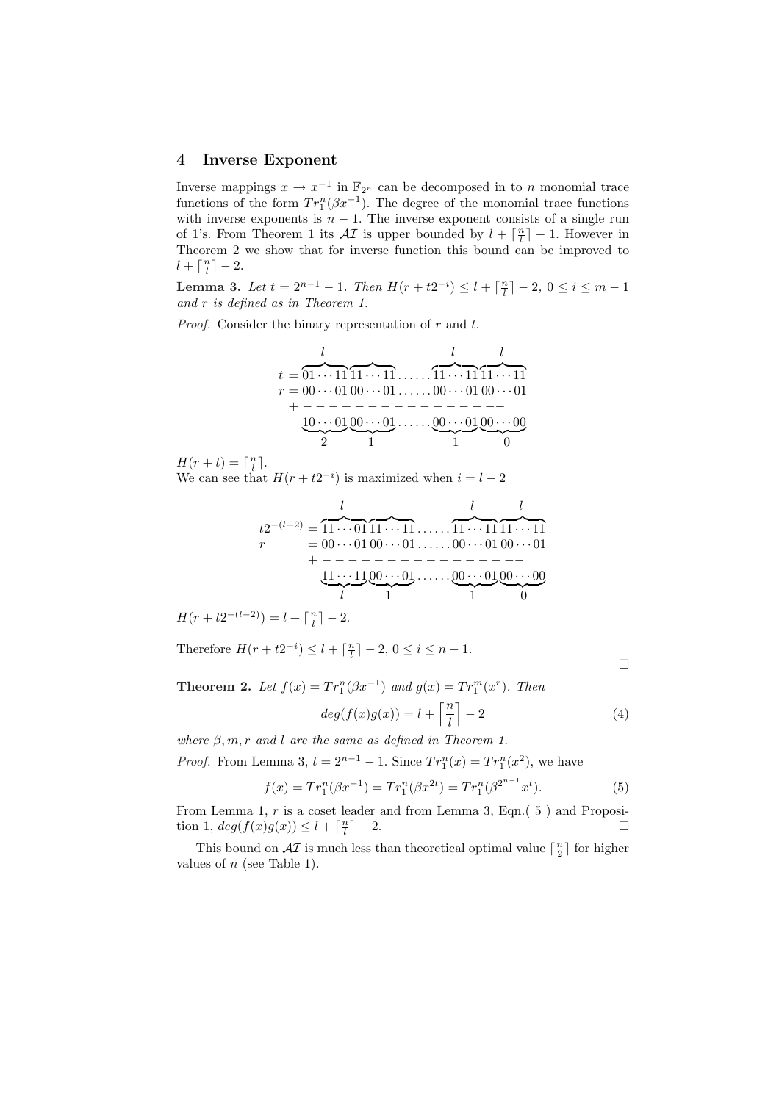#### 4 Inverse Exponent

Inverse mappings  $x \to x^{-1}$  in  $\mathbb{F}_{2^n}$  can be decomposed in to n monomial trace functions of the form  $Tr_1^n(\beta x^{-1})$ . The degree of the monomial trace functions with inverse exponents is  $n - 1$ . The inverse exponent consists of a single run of 1's. From Theorem 1 its  $\mathcal{A}I$  is upper bounded by  $l + \lceil \frac{n}{l} \rceil - 1$ . However in Theorem 2 we show that for inverse function this bound can be improved to  $l + \lceil \frac{n}{l} \rceil - 2.$ 

Lemma 3. Let  $t = 2^{n-1} - 1$ . Then  $H(r + t2^{-i}) \le l + \lceil \frac{n}{l} \rceil - 2$ ,  $0 \le i \le m - 1$ and r is defined as in Theorem 1.

*Proof.* Consider the binary representation of  $r$  and  $t$ .

$$
t = 01 \cdots 11 \overbrace{11 \cdots 11}^{l} \cdots 11 \overbrace{11 \cdots 11}^{l} \overbrace{11 \cdots 11}^{l}
$$
  
\n
$$
r = 00 \cdots 01 \overbrace{00 \cdots 01}^{0} \cdots 01 \cdots 00 \cdots 01 \overbrace{00 \cdots 01}^{00 \cdots 01} \underbrace{00 \cdots 01}_{1}^{00 \cdots 01} \underbrace{00 \cdots 00}_{1}^{00 \cdots 01} \underbrace{00 \cdots 00}_{1}^{00 \cdots 00}
$$

 $H(r+t) = \lceil \frac{n}{l} \rceil.$ 

We can see that  $H(r + t2^{-i})$  is maximized when  $i = l - 2$ 

l l l t2 <sup>−</sup>(l−2) = z }| { 11 · · · 01 z }| { 11 · · · 11 . . . . . . z }| { 11 · · · 11 z }| { 11 · · · 11 r = 00 · · · 01 00 · · · 01 . . . . . . 00 · · · 01 00 · · · 01 + − − − − − − − − − − − − − − −− 11 · · · 11 | {z } 00 · · · 01 | {z } . . . . . . 00 · · · 01 | {z } 00 · · · 00 | {z } l 1 1 0

 $H(r + t2^{-(l-2)}) = l + \lceil \frac{n}{l} \rceil - 2.$ 

Therefore  $H(r + t2^{-i}) \leq l + \lceil \frac{n}{l} \rceil - 2, 0 \leq i \leq n - 1.$ 

¤

**Theorem 2.** Let  $f(x) = Tr_1^n(\beta x^{-1})$  and  $g(x) = Tr_1^m(x^r)$ . Then  $\sqrt{n}$ m

$$
deg(f(x)g(x)) = l + \left\lceil \frac{n}{l} \right\rceil - 2 \tag{4}
$$

where  $\beta, m, r$  and l are the same as defined in Theorem 1. *Proof.* From Lemma 3,  $t = 2^{n-1} - 1$ . Since  $Tr_1^n(x) = Tr_1^n(x^2)$ , we have

$$
f(x) = Tr_1^n(\beta x^{-1}) = Tr_1^n(\beta x^{2t}) = Tr_1^n(\beta^{2^{n-1}} x^t).
$$
 (5)

From Lemma 1, r is a coset leader and from Lemma 3, Eqn.( 5 ) and Proposition 1,  $deg(f(x)g(x)) \leq l + \lceil \frac{n}{l} \rceil - 2$ .

This bound on  $\mathcal{AI}$  is much less than theoretical optimal value  $\lceil \frac{n}{2} \rceil$  for higher values of  $n$  (see Table 1).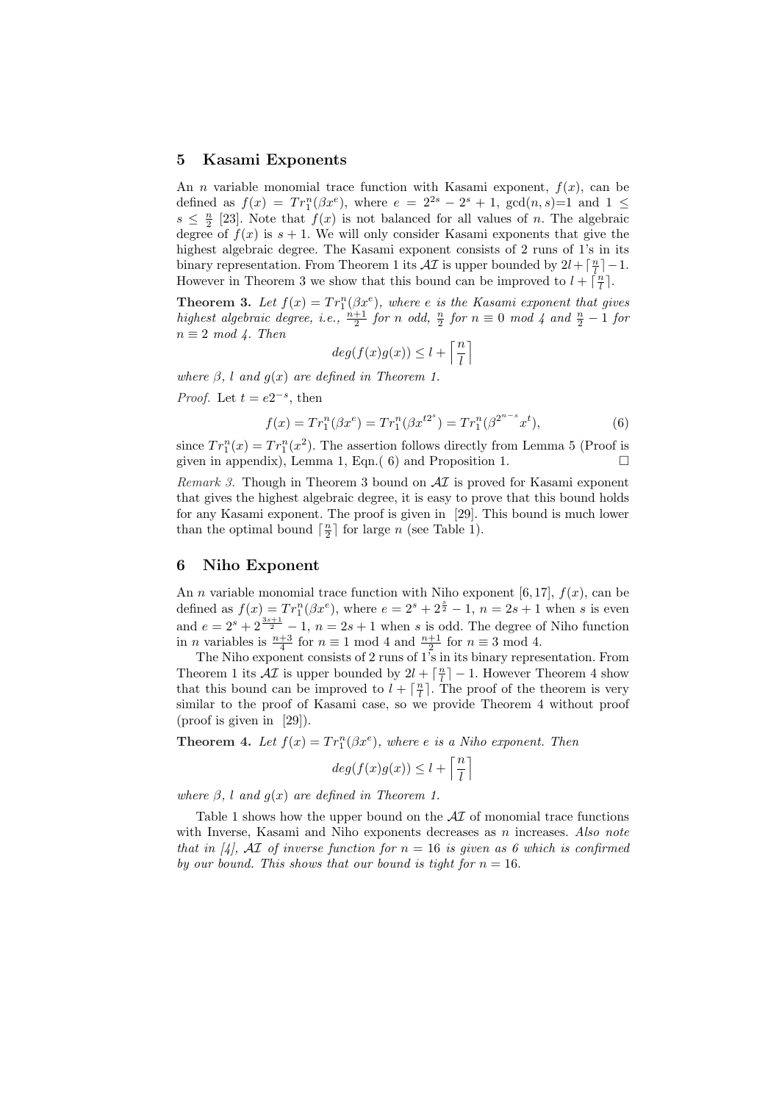#### 5 Kasami Exponents

An *n* variable monomial trace function with Kasami exponent,  $f(x)$ , can be defined as  $f(x) = Tr_1^n(\beta x^e)$ , where  $e = 2^{2s} - 2^s + 1$ ,  $gcd(n, s) = 1$  and  $1 \le$  $s \leq \frac{n}{2}$  [23]. Note that  $f(x)$  is not balanced for all values of n. The algebraic degree of  $f(x)$  is  $s + 1$ . We will only consider Kasami exponents that give the highest algebraic degree. The Kasami exponent consists of 2 runs of 1's in its binary representation. From Theorem 1 its  $\mathcal{A}I$  is upper bounded by  $2l + \lceil \frac{n}{l} \rceil - 1$ . However in Theorem 3 we show that this bound can be improved to  $l + \lceil \frac{n}{l} \rceil$ .

**Theorem 3.** Let  $f(x) = Tr_1^n(\beta x^e)$ , where e is the Kasami exponent that gives highest algebraic degree, i.e.,  $\frac{n+1}{2}$  for n odd,  $\frac{n}{2}$  for  $n \equiv 0 \mod 4$  and  $\frac{n}{2} - 1$  for  $n \equiv 2 \mod 4$ . Then  $\overline{\Gamma}$ <sup>n</sup> m

$$
deg(f(x)g(x)) \le l + \left\lceil \frac{n}{l} \right\rceil
$$

where  $\beta$ , l and  $g(x)$  are defined in Theorem 1.

*Proof.* Let  $t = e^{2^{-s}}$ , then

$$
f(x) = Tr_1^n(\beta x^e) = Tr_1^n(\beta x^{t2^s}) = Tr_1^n(\beta^{2^{n-s}} x^t),
$$
\n(6)

since  $Tr_1^n(x) = Tr_1^n(x^2)$ . The assertion follows directly from Lemma 5 (Proof is given in appendix), Lemma 1, Eqn.( 6) and Proposition 1.  $\Box$ 

Remark 3. Though in Theorem 3 bound on  $\mathcal{AI}$  is proved for Kasami exponent that gives the highest algebraic degree, it is easy to prove that this bound holds for any Kasami exponent. The proof is given in [29]. This bound is much lower than the optimal bound  $\lceil \frac{n}{2} \rceil$  for large n (see Table 1).

## 6 Niho Exponent

An *n* variable monomial trace function with Niho exponent [6,17],  $f(x)$ , can be defined as  $f(x) = Tr_1^n(\beta x^e)$ , where  $e = 2^s + 2^{\frac{s}{2}} - 1$ ,  $n = 2s + 1$  when s is even and  $e = 2^s + 2^{\frac{3s+1}{2}} - 1$ ,  $n = 2s+1$  when s is odd. The degree of Niho function in *n* variables is  $\frac{n+3}{4}$  for  $n \equiv 1 \mod 4$  and  $\frac{n+1}{2}$  for  $n \equiv 3 \mod 4$ .

The Niho exponent consists of 2 runs of 1's in its binary representation. From Theorem 1 its  $\mathcal{AI}$  is upper bounded by  $2l + \lceil \frac{n}{l} \rceil - 1$ . However Theorem 4 show that this bound can be improved to  $l + \lceil \frac{n}{l} \rceil$ . The proof of the theorem is very similar to the proof of Kasami case, so we provide Theorem 4 without proof (proof is given in [29]).

**Theorem 4.** Let  $f(x) = Tr_1^n(\beta x^e)$ , where e is a Niho exponent. Then

$$
deg(f(x)g(x)) \le l + \left\lceil \frac{n}{l} \right\rceil
$$

where  $\beta$ , l and  $g(x)$  are defined in Theorem 1.

Table 1 shows how the upper bound on the  $\mathcal{A}I$  of monomial trace functions with Inverse, Kasami and Niho exponents decreases as n increases. Also note that in [4], AI of inverse function for  $n = 16$  is given as 6 which is confirmed by our bound. This shows that our bound is tight for  $n = 16$ .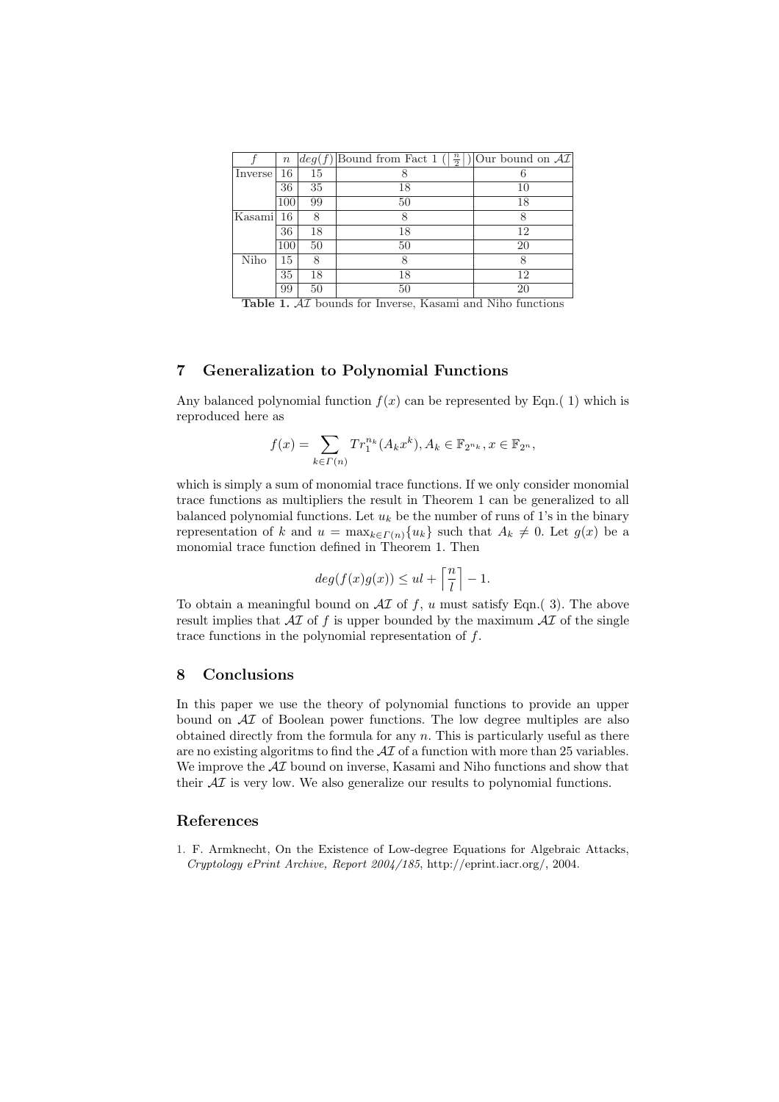|         | $\it n$ |    | $\deg(f)$ Bound from Fact 1 $(\lceil \frac{n}{2} \rceil)$ Our bound on AT |    |
|---------|---------|----|---------------------------------------------------------------------------|----|
| Inverse | 16      | 15 |                                                                           | 6  |
|         | 36      | 35 | 18                                                                        | 10 |
|         | 100     | 99 | 50                                                                        | 18 |
| Kasami  | 16      | 8  | 8                                                                         | 8  |
|         | 36      | 18 | 18                                                                        | 12 |
|         | 100     | 50 | 50                                                                        | 20 |
| Niho    | 15      | 8  | 8                                                                         | 8  |
|         | 35      | 18 | 18                                                                        | 12 |
|         | 99      | 50 | 50                                                                        | 20 |

Table 1.  $AT$  bounds for Inverse, Kasami and Niho functions

## 7 Generalization to Polynomial Functions

Any balanced polynomial function  $f(x)$  can be represented by Eqn.(1) which is reproduced here as

$$
f(x) = \sum_{k \in \Gamma(n)} Tr_1^{n_k}(A_k x^k), A_k \in \mathbb{F}_{2^{n_k}}, x \in \mathbb{F}_{2^n},
$$

which is simply a sum of monomial trace functions. If we only consider monomial trace functions as multipliers the result in Theorem 1 can be generalized to all balanced polynomial functions. Let  $u_k$  be the number of runs of 1's in the binary representation of k and  $u = \max_{k \in \Gamma(n)} \{u_k\}$  such that  $A_k \neq 0$ . Let  $g(x)$  be a monomial trace function defined in Theorem 1. Then

$$
deg(f(x)g(x)) \leq ul + \left\lceil \frac{n}{l} \right\rceil - 1.
$$

To obtain a meaningful bound on  $\mathcal{AI}$  of f, u must satisfy Eqn.(3). The above result implies that  $\mathcal{A}I$  of f is upper bounded by the maximum  $\mathcal{A}I$  of the single trace functions in the polynomial representation of f.

### 8 Conclusions

In this paper we use the theory of polynomial functions to provide an upper bound on AI of Boolean power functions. The low degree multiples are also obtained directly from the formula for any  $n$ . This is particularly useful as there are no existing algoritms to find the  $\mathcal{A}I$  of a function with more than 25 variables. We improve the  $\mathcal{A}I$  bound on inverse, Kasami and Niho functions and show that their  $\mathcal{A}I$  is very low. We also generalize our results to polynomial functions.

## References

1. F. Armknecht, On the Existence of Low-degree Equations for Algebraic Attacks, Cryptology ePrint Archive, Report 2004/185, http://eprint.iacr.org/, 2004.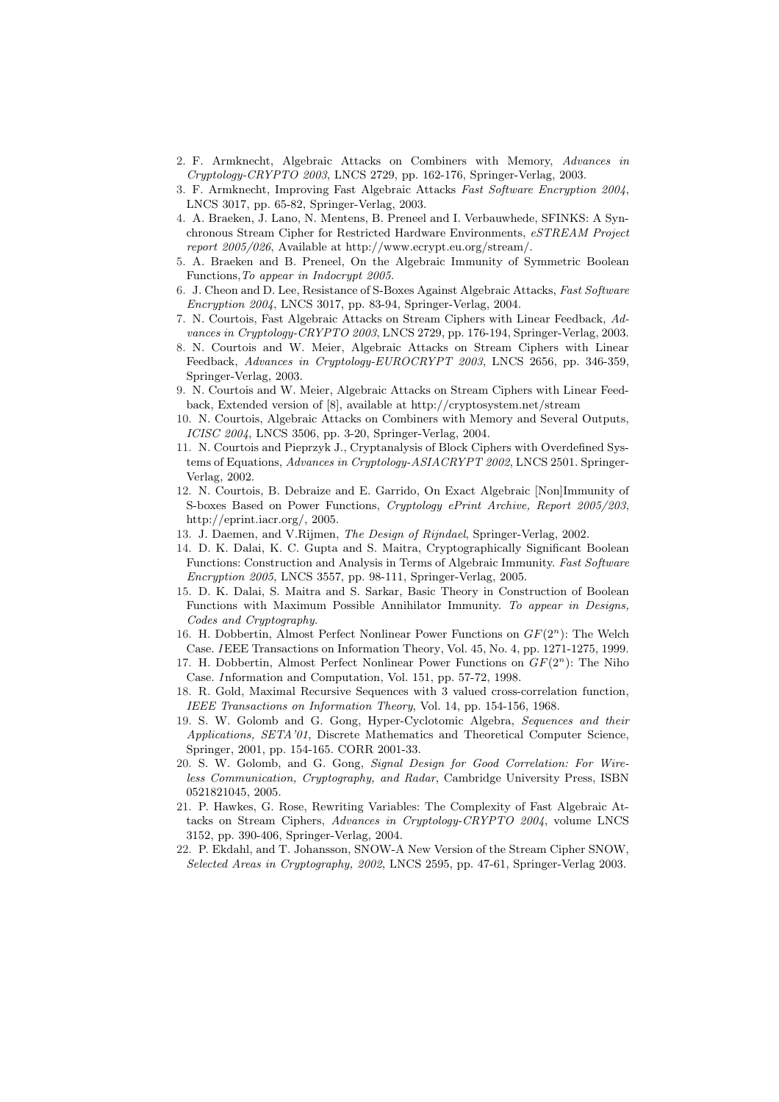- 2. F. Armknecht, Algebraic Attacks on Combiners with Memory, Advances in Cryptology-CRYPTO 2003, LNCS 2729, pp. 162-176, Springer-Verlag, 2003.
- 3. F. Armknecht, Improving Fast Algebraic Attacks Fast Software Encryption 2004, LNCS 3017, pp. 65-82, Springer-Verlag, 2003.
- 4. A. Braeken, J. Lano, N. Mentens, B. Preneel and I. Verbauwhede, SFINKS: A Synchronous Stream Cipher for Restricted Hardware Environments, eSTREAM Project report 2005/026, Available at http://www.ecrypt.eu.org/stream/.
- 5. A. Braeken and B. Preneel, On the Algebraic Immunity of Symmetric Boolean Functions,To appear in Indocrypt 2005.
- 6. J. Cheon and D. Lee, Resistance of S-Boxes Against Algebraic Attacks, Fast Software Encryption 2004, LNCS 3017, pp. 83-94, Springer-Verlag, 2004.
- 7. N. Courtois, Fast Algebraic Attacks on Stream Ciphers with Linear Feedback, Advances in Cryptology-CRYPTO 2003, LNCS 2729, pp. 176-194, Springer-Verlag, 2003.
- 8. N. Courtois and W. Meier, Algebraic Attacks on Stream Ciphers with Linear Feedback, Advances in Cryptology-EUROCRYPT 2003, LNCS 2656, pp. 346-359, Springer-Verlag, 2003.
- 9. N. Courtois and W. Meier, Algebraic Attacks on Stream Ciphers with Linear Feedback, Extended version of [8], available at http://cryptosystem.net/stream
- 10. N. Courtois, Algebraic Attacks on Combiners with Memory and Several Outputs, ICISC 2004, LNCS 3506, pp. 3-20, Springer-Verlag, 2004.
- 11. N. Courtois and Pieprzyk J., Cryptanalysis of Block Ciphers with Overdefined Systems of Equations, Advances in Cryptology-ASIACRYPT 2002, LNCS 2501. Springer-Verlag, 2002.
- 12. N. Courtois, B. Debraize and E. Garrido, On Exact Algebraic [Non]Immunity of S-boxes Based on Power Functions, Cryptology ePrint Archive, Report 2005/203, http://eprint.iacr.org/, 2005.
- 13. J. Daemen, and V.Rijmen, The Design of Rijndael, Springer-Verlag, 2002.
- 14. D. K. Dalai, K. C. Gupta and S. Maitra, Cryptographically Significant Boolean Functions: Construction and Analysis in Terms of Algebraic Immunity. Fast Software Encryption 2005, LNCS 3557, pp. 98-111, Springer-Verlag, 2005.
- 15. D. K. Dalai, S. Maitra and S. Sarkar, Basic Theory in Construction of Boolean Functions with Maximum Possible Annihilator Immunity. To appear in Designs, Codes and Cryptography.
- 16. H. Dobbertin, Almost Perfect Nonlinear Power Functions on  $GF(2<sup>n</sup>)$ : The Welch Case. IEEE Transactions on Information Theory, Vol. 45, No. 4, pp. 1271-1275, 1999.
- 17. H. Dobbertin, Almost Perfect Nonlinear Power Functions on  $GF(2<sup>n</sup>)$ : The Niho Case. Information and Computation, Vol. 151, pp. 57-72, 1998.
- 18. R. Gold, Maximal Recursive Sequences with 3 valued cross-correlation function, IEEE Transactions on Information Theory, Vol. 14, pp. 154-156, 1968.
- 19. S. W. Golomb and G. Gong, Hyper-Cyclotomic Algebra, Sequences and their Applications, SETA'01, Discrete Mathematics and Theoretical Computer Science, Springer, 2001, pp. 154-165. CORR 2001-33.
- 20. S. W. Golomb, and G. Gong, Signal Design for Good Correlation: For Wireless Communication, Cryptography, and Radar, Cambridge University Press, ISBN 0521821045, 2005.
- 21. P. Hawkes, G. Rose, Rewriting Variables: The Complexity of Fast Algebraic Attacks on Stream Ciphers, Advances in Cryptology-CRYPTO 2004, volume LNCS 3152, pp. 390-406, Springer-Verlag, 2004.
- 22. P. Ekdahl, and T. Johansson, SNOW-A New Version of the Stream Cipher SNOW, Selected Areas in Cryptography, 2002, LNCS 2595, pp. 47-61, Springer-Verlag 2003.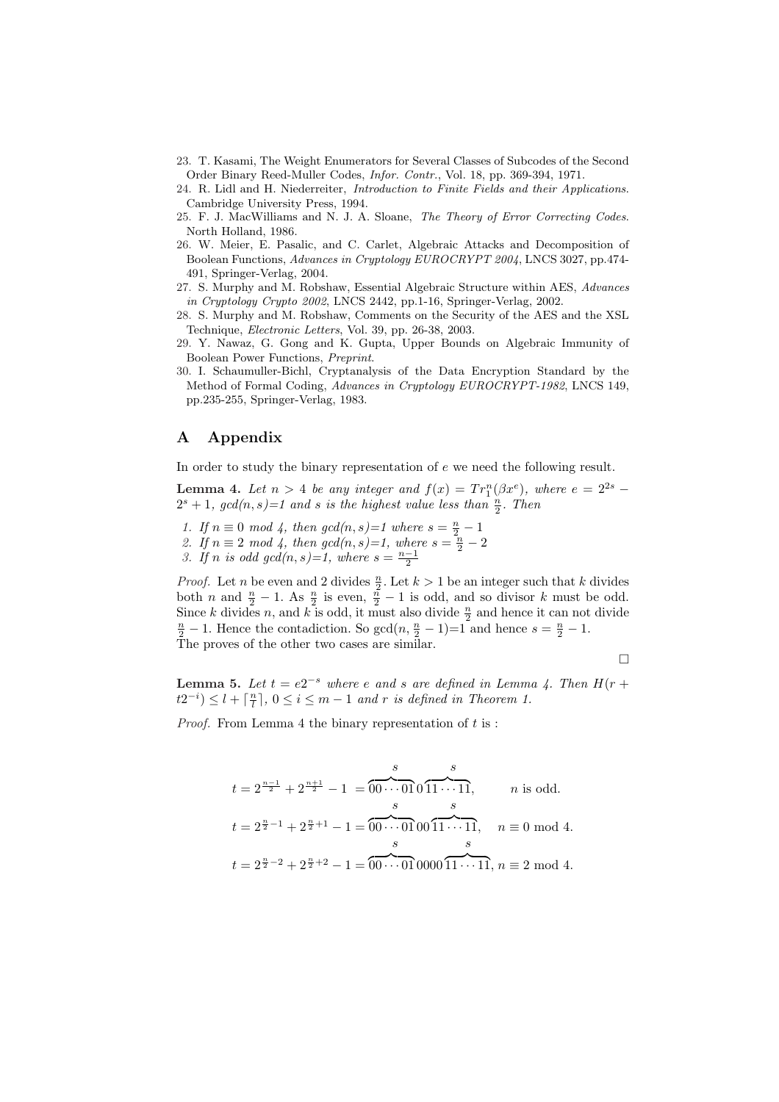- 23. T. Kasami, The Weight Enumerators for Several Classes of Subcodes of the Second Order Binary Reed-Muller Codes, Infor. Contr., Vol. 18, pp. 369-394, 1971.
- 24. R. Lidl and H. Niederreiter, Introduction to Finite Fields and their Applications. Cambridge University Press, 1994.
- 25. F. J. MacWilliams and N. J. A. Sloane, The Theory of Error Correcting Codes. North Holland, 1986.
- 26. W. Meier, E. Pasalic, and C. Carlet, Algebraic Attacks and Decomposition of Boolean Functions, Advances in Cryptology EUROCRYPT 2004, LNCS 3027, pp.474- 491, Springer-Verlag, 2004.
- 27. S. Murphy and M. Robshaw, Essential Algebraic Structure within AES, Advances in Cryptology Crypto 2002, LNCS 2442, pp.1-16, Springer-Verlag, 2002.
- 28. S. Murphy and M. Robshaw, Comments on the Security of the AES and the XSL Technique, Electronic Letters, Vol. 39, pp. 26-38, 2003.
- 29. Y. Nawaz, G. Gong and K. Gupta, Upper Bounds on Algebraic Immunity of Boolean Power Functions, Preprint.
- 30. I. Schaumuller-Bichl, Cryptanalysis of the Data Encryption Standard by the Method of Formal Coding, Advances in Cryptology EUROCRYPT-1982, LNCS 149, pp.235-255, Springer-Verlag, 1983.

## A Appendix

In order to study the binary representation of e we need the following result.

**Lemma 4.** Let  $n > 4$  be any integer and  $f(x) = Tr_1^n(\beta x^e)$ , where  $e = 2^{2s}$  $2^s + 1$ , gcd $(n, s) = 1$  and s is the highest value less than  $\frac{n}{2}$ . Then

- 1. If  $n \equiv 0 \mod 4$ , then  $gcd(n, s) = 1$  where  $s = \frac{n}{2} 1$
- 2. If  $n \equiv 2 \mod 4$ , then  $gcd(n, s) = 1$ , where  $s = \frac{n}{2} 2$
- 3. If n is odd gcd $(n, s)=1$ , where  $s=\frac{n-1}{2}$

*Proof.* Let *n* be even and 2 divides  $\frac{n}{2}$ . Let  $k > 1$  be an integer such that *k* divides both *n* and  $\frac{n}{2} - 1$ . As  $\frac{n}{2}$  is even,  $\frac{n}{2} - 1$  is odd, and so divisor *k* must be odd. Since k divides n, and k is odd, it must also divide  $\frac{n}{2}$  and hence it can not divide  $\frac{n}{2} - 1$ . Hence the contadiction. So gcd $(n, \frac{n}{2} - 1) = 1$  and hence  $s = \frac{n}{2} - 1$ . The proves of the other two cases are similar.

**Lemma 5.** Let  $t = e^{2^{-s}}$  where e and s are defined in Lemma 4. Then  $H(r +$  $(t2^{-i}) \leq l + \lceil \frac{n}{l} \rceil, 0 \leq i \leq m-1$  and r is defined in Theorem 1.

 $\Box$ 

*Proof.* From Lemma 4 the binary representation of  $t$  is :

$$
t = 2^{\frac{n-1}{2}} + 2^{\frac{n+1}{2}} - 1 = \underbrace{00 \cdots 01}_{s} 0 \underbrace{0 \cdots 11}_{s}, \quad n \text{ is odd.}
$$

$$
t = 2^{\frac{n}{2} - 1} + 2^{\frac{n}{2} + 1} - 1 = \underbrace{00 \cdots 01}_{s} 00 \underbrace{0 \cdots 11}_{s}, \quad n \equiv 0 \mod 4.
$$

$$
t = 2^{\frac{n}{2} - 2} + 2^{\frac{n}{2} + 2} - 1 = \underbrace{00 \cdots 01}_{s} 0000 \underbrace{1 \cdots 11}_{s}, n \equiv 2 \mod 4.
$$